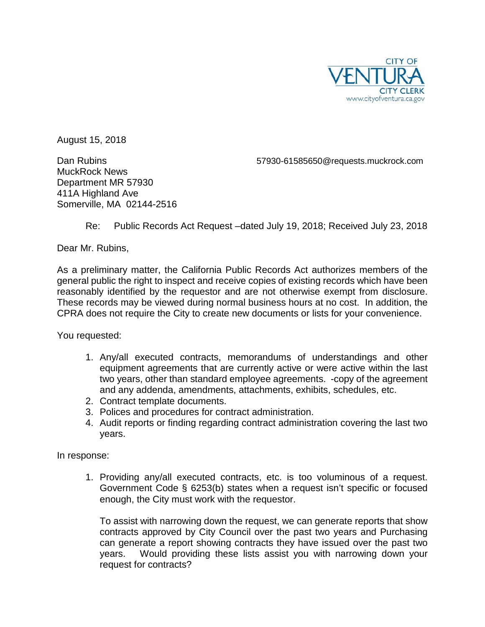

August 15, 2018

MuckRock News Department MR 57930 411A Highland Ave Somerville, MA 02144-2516

Dan Rubins 57930-61585650@requests.muckrock.com

Re: Public Records Act Request –dated July 19, 2018; Received July 23, 2018

Dear Mr. Rubins,

As a preliminary matter, the California Public Records Act authorizes members of the general public the right to inspect and receive copies of existing records which have been reasonably identified by the requestor and are not otherwise exempt from disclosure. These records may be viewed during normal business hours at no cost. In addition, the CPRA does not require the City to create new documents or lists for your convenience.

You requested:

- 1. Any/all executed contracts, memorandums of understandings and other equipment agreements that are currently active or were active within the last two years, other than standard employee agreements. -copy of the agreement and any addenda, amendments, attachments, exhibits, schedules, etc.
- 2. Contract template documents.
- 3. Polices and procedures for contract administration.
- 4. Audit reports or finding regarding contract administration covering the last two years.

In response:

1. Providing any/all executed contracts, etc. is too voluminous of a request. Government Code § 6253(b) states when a request isn't specific or focused enough, the City must work with the requestor.

To assist with narrowing down the request, we can generate reports that show contracts approved by City Council over the past two years and Purchasing can generate a report showing contracts they have issued over the past two years. Would providing these lists assist you with narrowing down your request for contracts?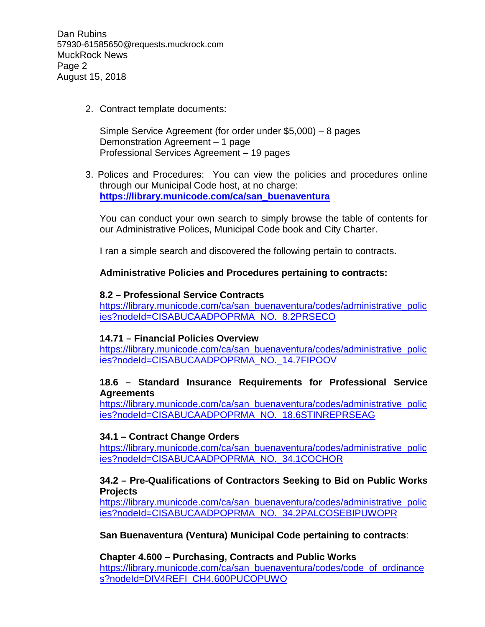Dan Rubins 57930-61585650@requests.muckrock.com MuckRock News Page 2 August 15, 2018

2. Contract template documents:

Simple Service Agreement (for order under \$5,000) – 8 pages Demonstration Agreement – 1 page Professional Services Agreement – 19 pages

3. Polices and Procedures: You can view the policies and procedures online through our Municipal Code host, at no charge: **[https://library.municode.com/ca/san\\_buenaventura](https://library.municode.com/ca/san_buenaventura)**

You can conduct your own search to simply browse the table of contents for our Administrative Polices, Municipal Code book and City Charter.

I ran a simple search and discovered the following pertain to contracts.

# **Administrative Policies and Procedures pertaining to contracts:**

### **8.2 – Professional Service Contracts**

[https://library.municode.com/ca/san\\_buenaventura/codes/administrative\\_polic](https://library.municode.com/ca/san_buenaventura/codes/administrative_policies?nodeId=CISABUCAADPOPRMA_NO._8.2PRSECO) [ies?nodeId=CISABUCAADPOPRMA\\_NO.\\_8.2PRSECO](https://library.municode.com/ca/san_buenaventura/codes/administrative_policies?nodeId=CISABUCAADPOPRMA_NO._8.2PRSECO)

### **14.71 – Financial Policies Overview**

[https://library.municode.com/ca/san\\_buenaventura/codes/administrative\\_polic](https://library.municode.com/ca/san_buenaventura/codes/administrative_policies?nodeId=CISABUCAADPOPRMA_NO._14.7FIPOOV) [ies?nodeId=CISABUCAADPOPRMA\\_NO.\\_14.7FIPOOV](https://library.municode.com/ca/san_buenaventura/codes/administrative_policies?nodeId=CISABUCAADPOPRMA_NO._14.7FIPOOV)

# **18.6 – Standard Insurance Requirements for Professional Service Agreements**

[https://library.municode.com/ca/san\\_buenaventura/codes/administrative\\_polic](https://library.municode.com/ca/san_buenaventura/codes/administrative_policies?nodeId=CISABUCAADPOPRMA_NO._18.6STINREPRSEAG) [ies?nodeId=CISABUCAADPOPRMA\\_NO.\\_18.6STINREPRSEAG](https://library.municode.com/ca/san_buenaventura/codes/administrative_policies?nodeId=CISABUCAADPOPRMA_NO._18.6STINREPRSEAG)

# **34.1 – Contract Change Orders**

[https://library.municode.com/ca/san\\_buenaventura/codes/administrative\\_polic](https://library.municode.com/ca/san_buenaventura/codes/administrative_policies?nodeId=CISABUCAADPOPRMA_NO._34.1COCHOR) [ies?nodeId=CISABUCAADPOPRMA\\_NO.\\_34.1COCHOR](https://library.municode.com/ca/san_buenaventura/codes/administrative_policies?nodeId=CISABUCAADPOPRMA_NO._34.1COCHOR)

### **34.2 – Pre-Qualifications of Contractors Seeking to Bid on Public Works Projects**

[https://library.municode.com/ca/san\\_buenaventura/codes/administrative\\_polic](https://library.municode.com/ca/san_buenaventura/codes/administrative_policies?nodeId=CISABUCAADPOPRMA_NO._34.2PALCOSEBIPUWOPR) [ies?nodeId=CISABUCAADPOPRMA\\_NO.\\_34.2PALCOSEBIPUWOPR](https://library.municode.com/ca/san_buenaventura/codes/administrative_policies?nodeId=CISABUCAADPOPRMA_NO._34.2PALCOSEBIPUWOPR)

**San Buenaventura (Ventura) Municipal Code pertaining to contracts**:

**Chapter 4.600 – Purchasing, Contracts and Public Works** [https://library.municode.com/ca/san\\_buenaventura/codes/code\\_of\\_ordinance](https://library.municode.com/ca/san_buenaventura/codes/code_of_ordinances?nodeId=DIV4REFI_CH4.600PUCOPUWO) [s?nodeId=DIV4REFI\\_CH4.600PUCOPUWO](https://library.municode.com/ca/san_buenaventura/codes/code_of_ordinances?nodeId=DIV4REFI_CH4.600PUCOPUWO)